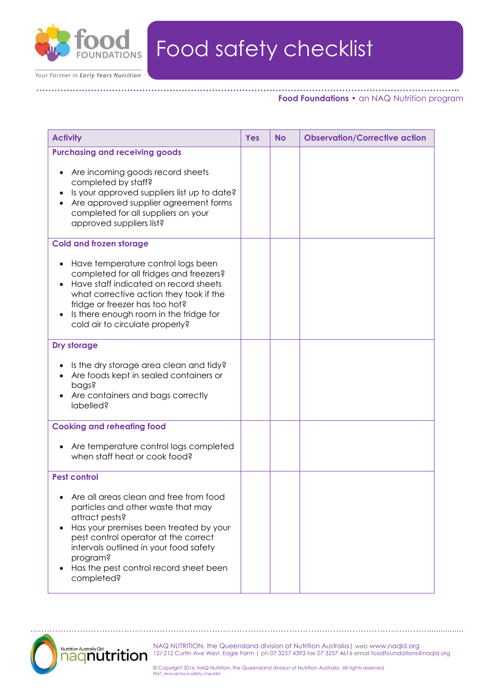

**…………………………………………………………………………………………………………………………..**

Your Partner in Early Years Nutrition

## **Food Foundations •** an NAQ Nutrition program

| <b>Activity</b>                                                                                                                                                                                                                                                                                                          | Yes | <b>No</b> | <b>Observation/Corrective action</b> |
|--------------------------------------------------------------------------------------------------------------------------------------------------------------------------------------------------------------------------------------------------------------------------------------------------------------------------|-----|-----------|--------------------------------------|
| <b>Purchasing and receiving goods</b><br>Are incoming goods record sheets<br>completed by staff?<br>Is your approved suppliers list up to date?<br>Are approved supplier agreement forms<br>completed for all suppliers on your<br>approved suppliers list?                                                              |     |           |                                      |
| <b>Cold and frozen storage</b>                                                                                                                                                                                                                                                                                           |     |           |                                      |
| Have temperature control logs been<br>completed for all fridges and freezers?<br>Have staff indicated on record sheets<br>what corrective action they took if the<br>fridge or freezer has too hot?<br>Is there enough room in the fridge for<br>$\bullet$<br>cold air to circulate properly?                            |     |           |                                      |
| Dry storage                                                                                                                                                                                                                                                                                                              |     |           |                                      |
| Is the dry storage area clean and tidy?<br>Are foods kept in sealed containers or<br>pags?<br>Are containers and bags correctly<br>labelled?                                                                                                                                                                             |     |           |                                      |
| <b>Cooking and reheating food</b>                                                                                                                                                                                                                                                                                        |     |           |                                      |
| Are temperature control logs completed<br>$\bullet$<br>when staff heat or cook food?                                                                                                                                                                                                                                     |     |           |                                      |
| <b>Pest control</b>                                                                                                                                                                                                                                                                                                      |     |           |                                      |
| Are all areas clean and free from food<br>particles and other waste that may<br>attract pests?<br>Has your premises been treated by your<br>$\bullet$<br>pest control operator at the correct<br>intervals outlined in your food safety<br>program?<br>Has the pest control record sheet been<br>$\bullet$<br>completed? |     |           |                                      |



NAQ NUTRITION, the Queensland division of Nutrition Australia| web www.naqld.org 12/ 212 Curtin Ave West, Eagle Farm | ph 07 3257 4393 fax 07 3257 4616 email foodfoundations@naqld.org